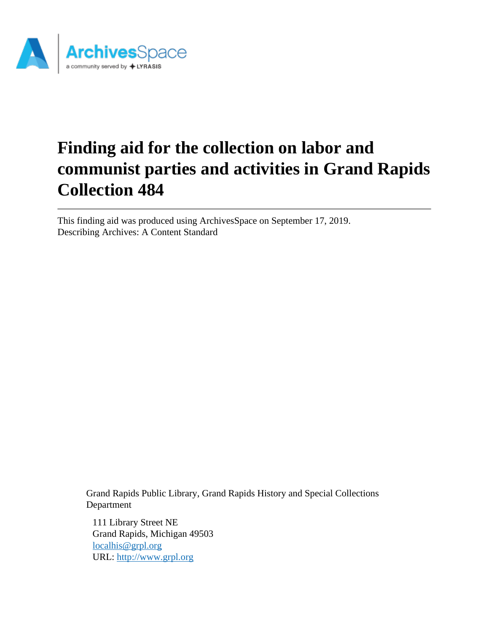

# **Finding aid for the collection on labor and communist parties and activities in Grand Rapids Collection 484**

This finding aid was produced using ArchivesSpace on September 17, 2019. Describing Archives: A Content Standard

Grand Rapids Public Library, Grand Rapids History and Special Collections Department

111 Library Street NE Grand Rapids, Michigan 49503 [localhis@grpl.org](mailto:localhis@grpl.org) URL:<http://www.grpl.org>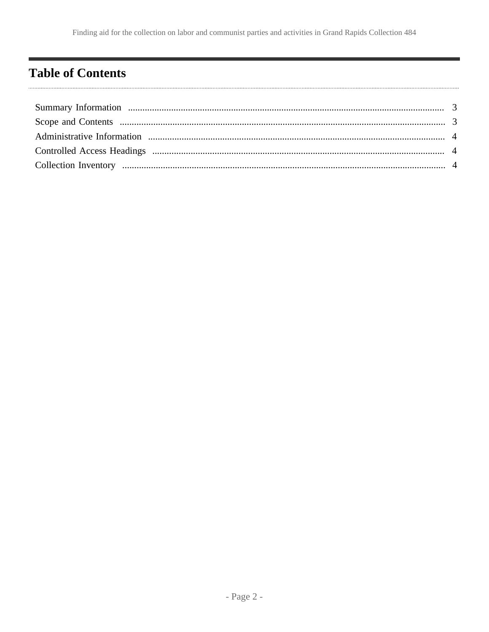# <span id="page-1-0"></span>**Table of Contents**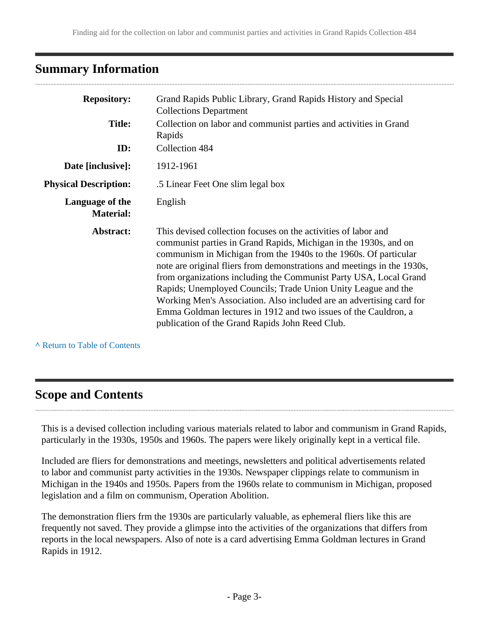## <span id="page-2-0"></span>**Summary Information**

| <b>Repository:</b>                  | Grand Rapids Public Library, Grand Rapids History and Special<br><b>Collections Department</b>                                                                                                                                                                                                                                                                                                                                                                                                                                                                                                                        |  |  |
|-------------------------------------|-----------------------------------------------------------------------------------------------------------------------------------------------------------------------------------------------------------------------------------------------------------------------------------------------------------------------------------------------------------------------------------------------------------------------------------------------------------------------------------------------------------------------------------------------------------------------------------------------------------------------|--|--|
| <b>Title:</b>                       | Collection on labor and communist parties and activities in Grand<br>Rapids                                                                                                                                                                                                                                                                                                                                                                                                                                                                                                                                           |  |  |
| ID:                                 | Collection 484                                                                                                                                                                                                                                                                                                                                                                                                                                                                                                                                                                                                        |  |  |
| Date [inclusive]:                   | 1912-1961                                                                                                                                                                                                                                                                                                                                                                                                                                                                                                                                                                                                             |  |  |
| <b>Physical Description:</b>        | .5 Linear Feet One slim legal box.                                                                                                                                                                                                                                                                                                                                                                                                                                                                                                                                                                                    |  |  |
| Language of the<br><b>Material:</b> | English                                                                                                                                                                                                                                                                                                                                                                                                                                                                                                                                                                                                               |  |  |
| Abstract:                           | This devised collection focuses on the activities of labor and<br>communist parties in Grand Rapids, Michigan in the 1930s, and on<br>communism in Michigan from the 1940s to the 1960s. Of particular<br>note are original fliers from demonstrations and meetings in the 1930s,<br>from organizations including the Communist Party USA, Local Grand<br>Rapids; Unemployed Councils; Trade Union Unity League and the<br>Working Men's Association. Also included are an advertising card for<br>Emma Goldman lectures in 1912 and two issues of the Cauldron, a<br>publication of the Grand Rapids John Reed Club. |  |  |

**^** [Return to Table of Contents](#page-1-0)

# <span id="page-2-1"></span>**Scope and Contents**

This is a devised collection including various materials related to labor and communism in Grand Rapids, particularly in the 1930s, 1950s and 1960s. The papers were likely originally kept in a vertical file.

Included are fliers for demonstrations and meetings, newsletters and political advertisements related to labor and communist party activities in the 1930s. Newspaper clippings relate to communism in Michigan in the 1940s and 1950s. Papers from the 1960s relate to communism in Michigan, proposed legislation and a film on communism, Operation Abolition.

The demonstration fliers frm the 1930s are particularly valuable, as ephemeral fliers like this are frequently not saved. They provide a glimpse into the activities of the organizations that differs from reports in the local newspapers. Also of note is a card advertising Emma Goldman lectures in Grand Rapids in 1912.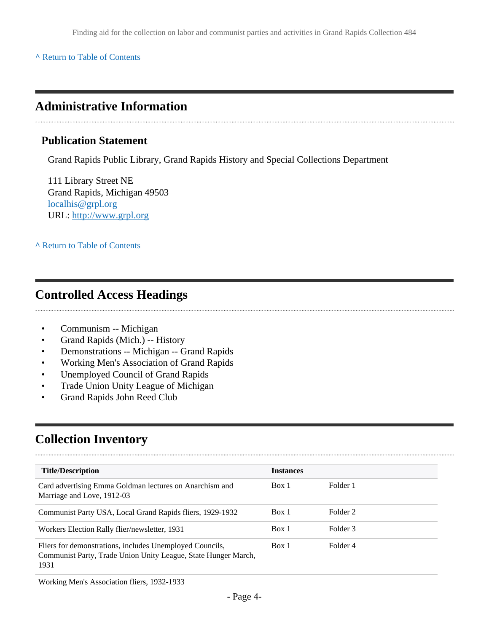#### **^** [Return to Table of Contents](#page-1-0)

### <span id="page-3-0"></span>**Administrative Information**

#### **Publication Statement**

Grand Rapids Public Library, Grand Rapids History and Special Collections Department

111 Library Street NE Grand Rapids, Michigan 49503 [localhis@grpl.org](mailto:localhis@grpl.org) URL:<http://www.grpl.org>

**^** [Return to Table of Contents](#page-1-0)

### <span id="page-3-1"></span>**Controlled Access Headings**

- Communism -- Michigan
- Grand Rapids (Mich.) -- History
- Demonstrations -- Michigan -- Grand Rapids
- Working Men's Association of Grand Rapids
- Unemployed Council of Grand Rapids
- Trade Union Unity League of Michigan
- Grand Rapids John Reed Club

# <span id="page-3-2"></span>**Collection Inventory**

| <b>Title/Description</b>                                                                                                           | <b>Instances</b> |          |
|------------------------------------------------------------------------------------------------------------------------------------|------------------|----------|
| Card advertising Emma Goldman lectures on Anarchism and<br>Marriage and Love, 1912-03                                              | Box 1            | Folder 1 |
| Communist Party USA, Local Grand Rapids fliers, 1929-1932                                                                          | Box 1            | Folder 2 |
| Workers Election Rally flier/newsletter, 1931                                                                                      | Box 1            | Folder 3 |
| Fliers for demonstrations, includes Unemployed Councils,<br>Communist Party, Trade Union Unity League, State Hunger March,<br>1931 | Box 1            | Folder 4 |

Working Men's Association fliers, 1932-1933